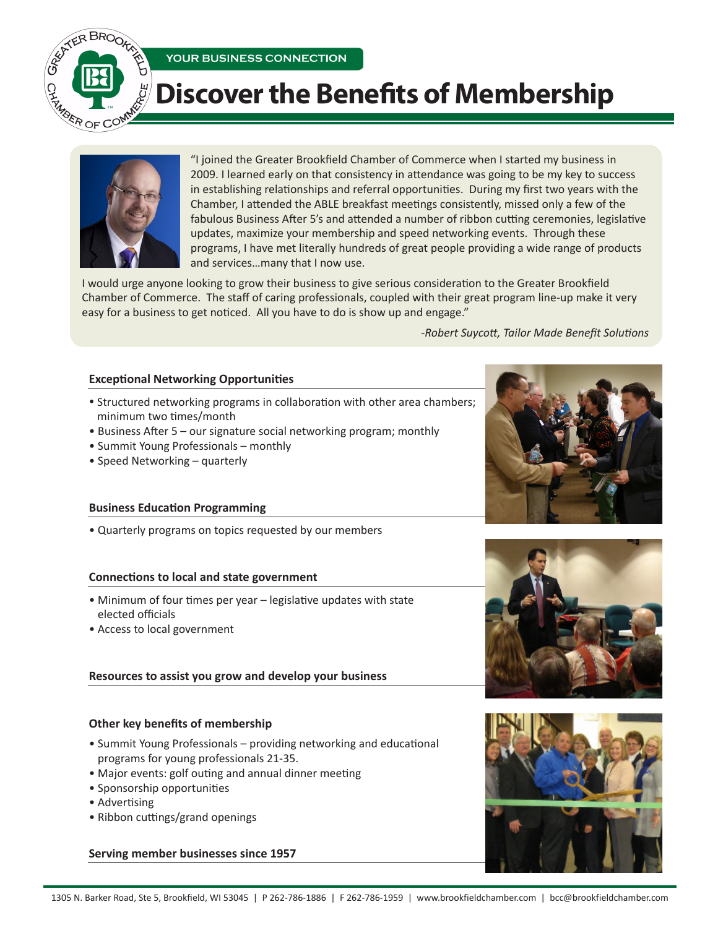

# **Discover the Benefits of Membership**



"I joined the Greater Brookfield Chamber of Commerce when I started my business in 2009. I learned early on that consistency in attendance was going to be my key to success in establishing relationships and referral opportunities. During my first two years with the Chamber, I attended the ABLE breakfast meetings consistently, missed only a few of the fabulous Business After 5's and attended a number of ribbon cutting ceremonies, legislative updates, maximize your membership and speed networking events. Through these programs, I have met literally hundreds of great people providing a wide range of products and services…many that I now use.

I would urge anyone looking to grow their business to give serious consideration to the Greater Brookfield Chamber of Commerce. The staff of caring professionals, coupled with their great program line-up make it very easy for a business to get noticed. All you have to do is show up and engage."

*-Robert Suycott, Tailor Made Benefit Solutions*

## **Exceptional Networking Opportunities**

- Structured networking programs in collaboration with other area chambers; minimum two times/month
- Business After 5 our signature social networking program; monthly

**YOUR BUSINESS CONNECTION** 

- Summit Young Professionals monthly
- Speed Networking quarterly

#### **Business Education Programming**

• Quarterly programs on topics requested by our members

#### **Connections to local and state government**

- Minimum of four times per year legislative updates with state elected officials
- Access to local government

## **Resources to assist you grow and develop your business**

## **Other key benefits of membership**

- Summit Young Professionals providing networking and educational programs for young professionals 21-35.
- Major events: golf outing and annual dinner meeting
- Sponsorship opportunities
- Advertising
- Ribbon cuttings/grand openings

#### **Serving member businesses since 1957**